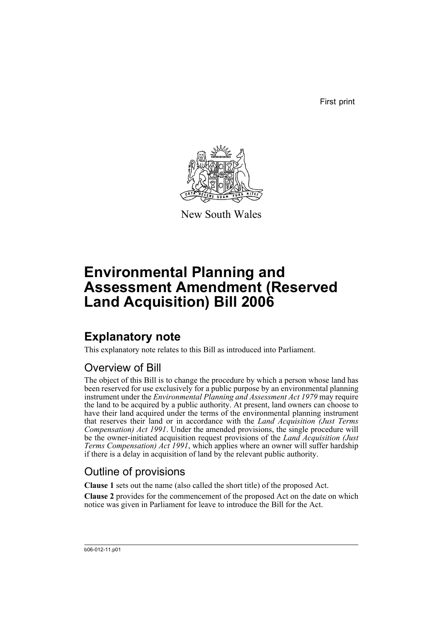First print



New South Wales

# **Environmental Planning and Assessment Amendment (Reserved Land Acquisition) Bill 2006**

## **Explanatory note**

This explanatory note relates to this Bill as introduced into Parliament.

## Overview of Bill

The object of this Bill is to change the procedure by which a person whose land has been reserved for use exclusively for a public purpose by an environmental planning instrument under the *Environmental Planning and Assessment Act 1979* may require the land to be acquired by a public authority. At present, land owners can choose to have their land acquired under the terms of the environmental planning instrument that reserves their land or in accordance with the *Land Acquisition (Just Terms Compensation) Act 1991*. Under the amended provisions, the single procedure will be the owner-initiated acquisition request provisions of the *Land Acquisition (Just Terms Compensation) Act 1991*, which applies where an owner will suffer hardship if there is a delay in acquisition of land by the relevant public authority.

## Outline of provisions

**Clause 1** sets out the name (also called the short title) of the proposed Act.

**Clause 2** provides for the commencement of the proposed Act on the date on which notice was given in Parliament for leave to introduce the Bill for the Act.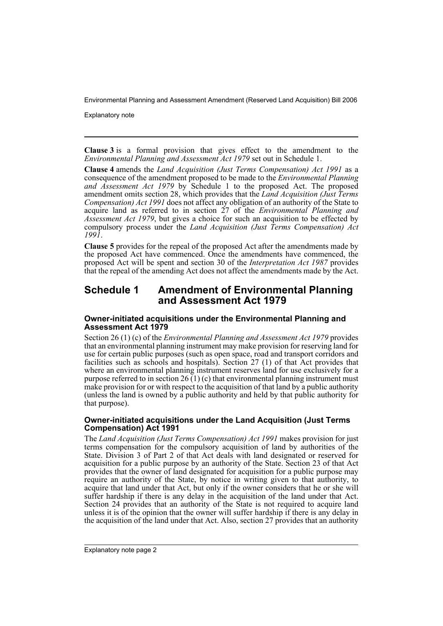Explanatory note

**Clause 3** is a formal provision that gives effect to the amendment to the *Environmental Planning and Assessment Act 1979* set out in Schedule 1.

**Clause 4** amends the *Land Acquisition (Just Terms Compensation) Act 1991* as a consequence of the amendment proposed to be made to the *Environmental Planning and Assessment Act 1979* by Schedule 1 to the proposed Act. The proposed amendment omits section 28, which provides that the *Land Acquisition (Just Terms Compensation) Act 1991* does not affect any obligation of an authority of the State to acquire land as referred to in section 27 of the *Environmental Planning and Assessment Act 1979*, but gives a choice for such an acquisition to be effected by compulsory process under the *Land Acquisition (Just Terms Compensation) Act 1991*.

**Clause 5** provides for the repeal of the proposed Act after the amendments made by the proposed Act have commenced. Once the amendments have commenced, the proposed Act will be spent and section 30 of the *Interpretation Act 1987* provides that the repeal of the amending Act does not affect the amendments made by the Act.

## **Schedule 1 Amendment of Environmental Planning and Assessment Act 1979**

### **Owner-initiated acquisitions under the Environmental Planning and Assessment Act 1979**

Section 26 (1) (c) of the *Environmental Planning and Assessment Act 1979* provides that an environmental planning instrument may make provision for reserving land for use for certain public purposes (such as open space, road and transport corridors and facilities such as schools and hospitals). Section  $27(1)$  of that Act provides that where an environmental planning instrument reserves land for use exclusively for a purpose referred to in section 26 (1) (c) that environmental planning instrument must make provision for or with respect to the acquisition of that land by a public authority (unless the land is owned by a public authority and held by that public authority for that purpose).

### **Owner-initiated acquisitions under the Land Acquisition (Just Terms Compensation) Act 1991**

The *Land Acquisition (Just Terms Compensation) Act 1991* makes provision for just terms compensation for the compulsory acquisition of land by authorities of the State. Division 3 of Part 2 of that Act deals with land designated or reserved for acquisition for a public purpose by an authority of the State. Section 23 of that Act provides that the owner of land designated for acquisition for a public purpose may require an authority of the State, by notice in writing given to that authority, to acquire that land under that Act, but only if the owner considers that he or she will suffer hardship if there is any delay in the acquisition of the land under that Act. Section 24 provides that an authority of the State is not required to acquire land unless it is of the opinion that the owner will suffer hardship if there is any delay in the acquisition of the land under that Act. Also, section 27 provides that an authority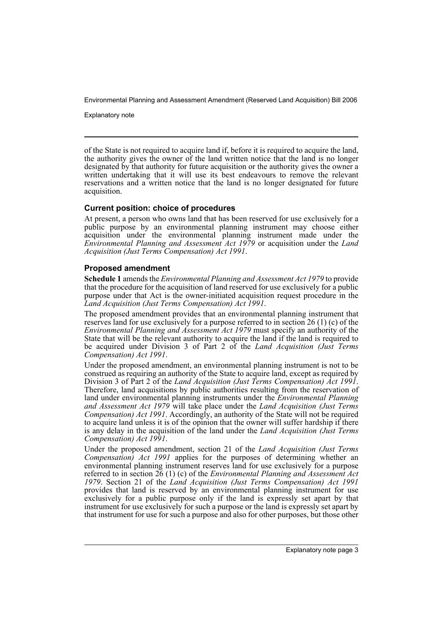Explanatory note

of the State is not required to acquire land if, before it is required to acquire the land, the authority gives the owner of the land written notice that the land is no longer designated by that authority for future acquisition or the authority gives the owner a written undertaking that it will use its best endeavours to remove the relevant reservations and a written notice that the land is no longer designated for future acquisition.

#### **Current position: choice of procedures**

At present, a person who owns land that has been reserved for use exclusively for a public purpose by an environmental planning instrument may choose either acquisition under the environmental planning instrument made under the *Environmental Planning and Assessment Act 1979* or acquisition under the *Land Acquisition (Just Terms Compensation) Act 1991*.

### **Proposed amendment**

**Schedule 1** amends the *Environmental Planning and Assessment Act 1979* to provide that the procedure for the acquisition of land reserved for use exclusively for a public purpose under that Act is the owner-initiated acquisition request procedure in the *Land Acquisition (Just Terms Compensation) Act 1991*.

The proposed amendment provides that an environmental planning instrument that reserves land for use exclusively for a purpose referred to in section 26 (1) (c) of the *Environmental Planning and Assessment Act 1979* must specify an authority of the State that will be the relevant authority to acquire the land if the land is required to be acquired under Division 3 of Part 2 of the *Land Acquisition (Just Terms Compensation) Act 1991*.

Under the proposed amendment, an environmental planning instrument is not to be construed as requiring an authority of the State to acquire land, except as required by Division 3 of Part 2 of the *Land Acquisition (Just Terms Compensation) Act 1991*. Therefore, land acquisitions by public authorities resulting from the reservation of land under environmental planning instruments under the *Environmental Planning and Assessment Act 1979* will take place under the *Land Acquisition (Just Terms Compensation) Act 1991.* Accordingly, an authority of the State will not be required to acquire land unless it is of the opinion that the owner will suffer hardship if there is any delay in the acquisition of the land under the *Land Acquisition (Just Terms Compensation) Act 1991*.

Under the proposed amendment, section 21 of the *Land Acquisition (Just Terms Compensation) Act 1991* applies for the purposes of determining whether an environmental planning instrument reserves land for use exclusively for a purpose referred to in section 26 (1) (c) of the *Environmental Planning and Assessment Act 1979*. Section 21 of the *Land Acquisition (Just Terms Compensation) Act 1991* provides that land is reserved by an environmental planning instrument for use exclusively for a public purpose only if the land is expressly set apart by that instrument for use exclusively for such a purpose or the land is expressly set apart by that instrument for use for such a purpose and also for other purposes, but those other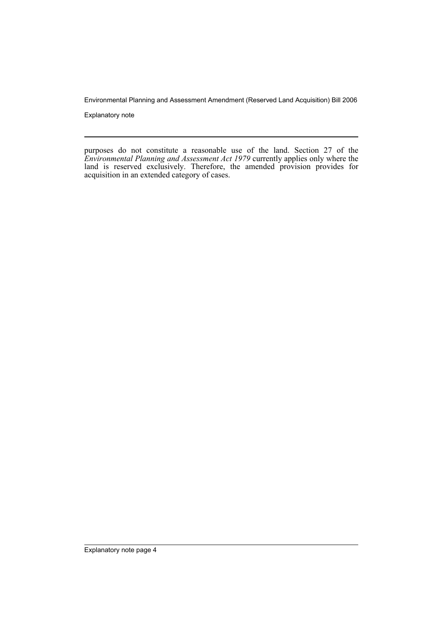Explanatory note

purposes do not constitute a reasonable use of the land. Section 27 of the *Environmental Planning and Assessment Act 1979* currently applies only where the land is reserved exclusively. Therefore, the amended provision provides for acquisition in an extended category of cases.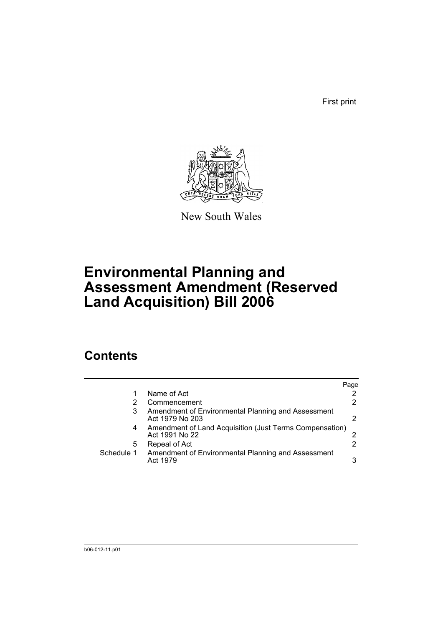First print



New South Wales

# **Environmental Planning and Assessment Amendment (Reserved Land Acquisition) Bill 2006**

## **Contents**

|            |                                                                           | Page |
|------------|---------------------------------------------------------------------------|------|
|            | Name of Act                                                               |      |
|            | Commencement                                                              | 2    |
| 3          | Amendment of Environmental Planning and Assessment<br>Act 1979 No 203     |      |
| 4          | Amendment of Land Acquisition (Just Terms Compensation)<br>Act 1991 No 22 |      |
| 5          | Repeal of Act                                                             | 2    |
| Schedule 1 | Amendment of Environmental Planning and Assessment<br>Act 1979            | 3    |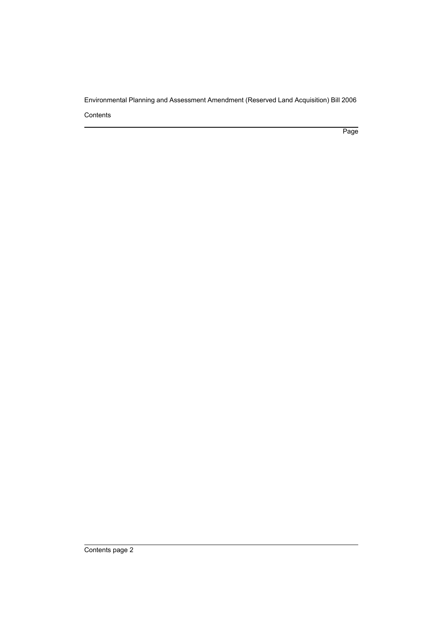Page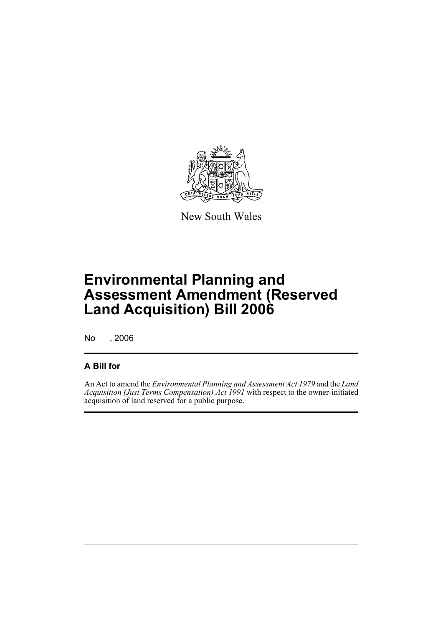

New South Wales

# **Environmental Planning and Assessment Amendment (Reserved Land Acquisition) Bill 2006**

No , 2006

## **A Bill for**

An Act to amend the *Environmental Planning and Assessment Act 1979* and the *Land Acquisition (Just Terms Compensation) Act 1991* with respect to the owner-initiated acquisition of land reserved for a public purpose.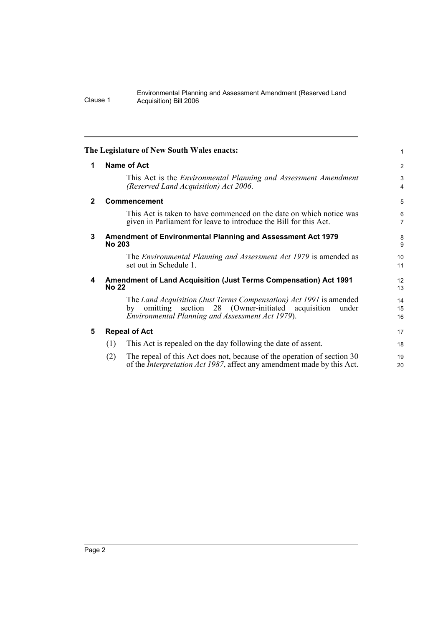<span id="page-7-4"></span><span id="page-7-3"></span><span id="page-7-2"></span><span id="page-7-1"></span><span id="page-7-0"></span>

| The Legislature of New South Wales enacts: |                                                                                                                                                                                              |                     |
|--------------------------------------------|----------------------------------------------------------------------------------------------------------------------------------------------------------------------------------------------|---------------------|
| 1                                          | <b>Name of Act</b>                                                                                                                                                                           | $\overline{2}$      |
|                                            | This Act is the <i>Environmental Planning and Assessment Amendment</i><br>(Reserved Land Acquisition) Act 2006.                                                                              | 3<br>4              |
| $\mathbf{2}$                               | <b>Commencement</b>                                                                                                                                                                          | 5                   |
|                                            | This Act is taken to have commenced on the date on which notice was<br>given in Parliament for leave to introduce the Bill for this Act.                                                     | 6<br>$\overline{7}$ |
| 3                                          | Amendment of Environmental Planning and Assessment Act 1979<br><b>No 203</b>                                                                                                                 | 8<br>9              |
|                                            | The <i>Environmental Planning and Assessment Act 1979</i> is amended as<br>set out in Schedule 1.                                                                                            | 10<br>11            |
| 4                                          | Amendment of Land Acquisition (Just Terms Compensation) Act 1991<br><b>No 22</b>                                                                                                             | 12<br>13            |
|                                            | The Land Acquisition (Just Terms Compensation) Act 1991 is amended<br>omitting section 28 (Owner-initiated<br>acquisition<br>under<br>by<br>Environmental Planning and Assessment Act 1979). | 14<br>15<br>16      |
| 5                                          | <b>Repeal of Act</b>                                                                                                                                                                         | 17                  |
|                                            | This Act is repealed on the day following the date of assent.<br>(1)                                                                                                                         | 18                  |
|                                            | The repeal of this Act does not, because of the operation of section 30<br>(2)<br>of the <i>Interpretation Act 1987</i> , affect any amendment made by this Act.                             | 19<br>20            |